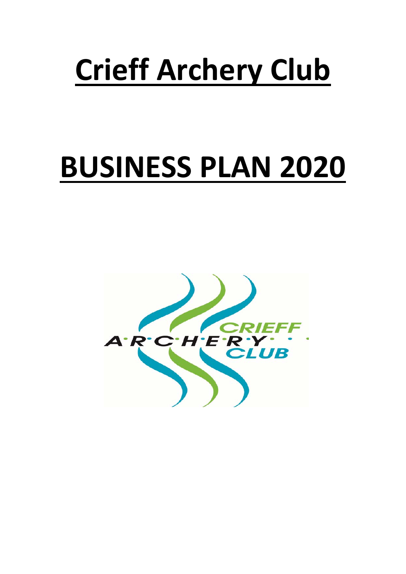# **Crieff Archery Club**

# **BUSINESS PLAN 2020**

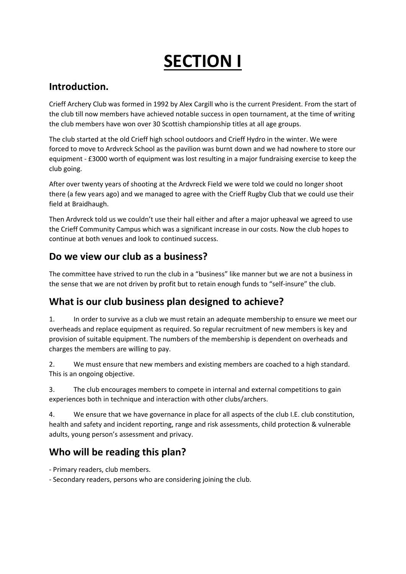# **SECTION I**

### **Introduction.**

Crieff Archery Club was formed in 1992 by Alex Cargill who is the current President. From the start of the club till now members have achieved notable success in open tournament, at the time of writing the club members have won over 30 Scottish championship titles at all age groups.

The club started at the old Crieff high school outdoors and Crieff Hydro in the winter. We were forced to move to Ardvreck School as the pavilion was burnt down and we had nowhere to store our equipment - £3000 worth of equipment was lost resulting in a major fundraising exercise to keep the club going.

After over twenty years of shooting at the Ardvreck Field we were told we could no longer shoot there (a few years ago) and we managed to agree with the Crieff Rugby Club that we could use their field at Braidhaugh.

Then Ardvreck told us we couldn't use their hall either and after a major upheaval we agreed to use the Crieff Community Campus which was a significant increase in our costs. Now the club hopes to continue at both venues and look to continued success.

### **Do we view our club as a business?**

The committee have strived to run the club in a "business" like manner but we are not a business in the sense that we are not driven by profit but to retain enough funds to "self-insure" the club.

### **What is our club business plan designed to achieve?**

1. In order to survive as a club we must retain an adequate membership to ensure we meet our overheads and replace equipment as required. So regular recruitment of new members is key and provision of suitable equipment. The numbers of the membership is dependent on overheads and charges the members are willing to pay.

2. We must ensure that new members and existing members are coached to a high standard. This is an ongoing objective.

3. The club encourages members to compete in internal and external competitions to gain experiences both in technique and interaction with other clubs/archers.

4. We ensure that we have governance in place for all aspects of the club I.E. club constitution, health and safety and incident reporting, range and risk assessments, child protection & vulnerable adults, young person's assessment and privacy.

### **Who will be reading this plan?**

- Primary readers, club members.

- Secondary readers, persons who are considering joining the club.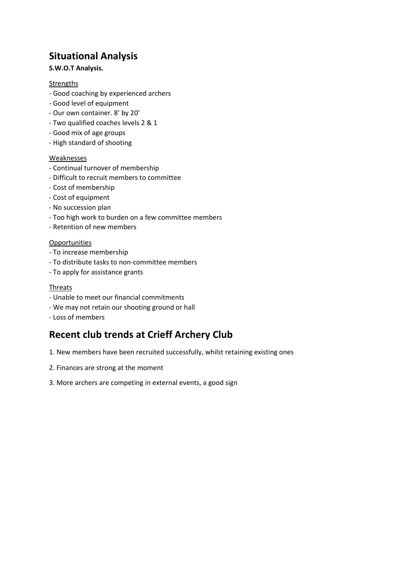### **Situational Analysis**

### **S.W.O.T Analysis.**

### Strengths

- Good coaching by experienced archers
- Good level of equipment
- Our own container. 8' by 20'
- Two qualified coaches levels 2 & 1
- Good mix of age groups
- High standard of shooting

### Weaknesses

- Continual turnover of membership
- Difficult to recruit members to committee
- Cost of membership
- Cost of equipment
- No succession plan
- Too high work to burden on a few committee members
- Retention of new members

### **Opportunities**

- To increase membership
- To distribute tasks to non-committee members
- To apply for assistance grants

### Threats

- Unable to meet our financial commitments
- We may not retain our shooting ground or hall
- Loss of members

### **Recent club trends at Crieff Archery Club**

- 1. New members have been recruited successfully, whilst retaining existing ones
- 2. Finances are strong at the moment
- 3. More archers are competing in external events, a good sign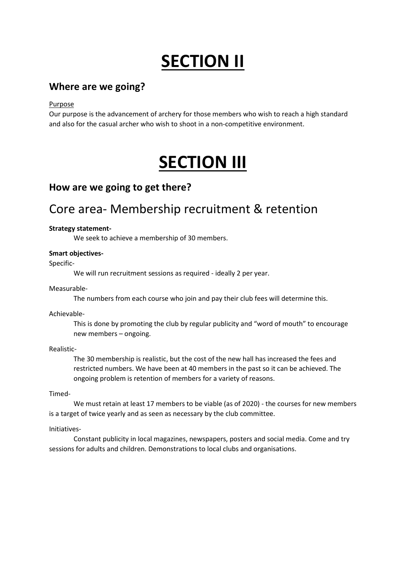## **SECTION II**

### **Where are we going?**

Purpose

Our purpose is the advancement of archery for those members who wish to reach a high standard and also for the casual archer who wish to shoot in a non-competitive environment.

## **SECTION III**

### **How are we going to get there?**

### Core area- Membership recruitment & retention

### **Strategy statement-**

We seek to achieve a membership of 30 members.

### **Smart objectives-**

Specific-

We will run recruitment sessions as required - ideally 2 per year.

### Measurable-

The numbers from each course who join and pay their club fees will determine this.

Achievable-

This is done by promoting the club by regular publicity and "word of mouth" to encourage new members – ongoing.

### Realistic-

The 30 membership is realistic, but the cost of the new hall has increased the fees and restricted numbers. We have been at 40 members in the past so it can be achieved. The ongoing problem is retention of members for a variety of reasons.

Timed-

We must retain at least 17 members to be viable (as of 2020) - the courses for new members is a target of twice yearly and as seen as necessary by the club committee.

### Initiatives-

Constant publicity in local magazines, newspapers, posters and social media. Come and try sessions for adults and children. Demonstrations to local clubs and organisations.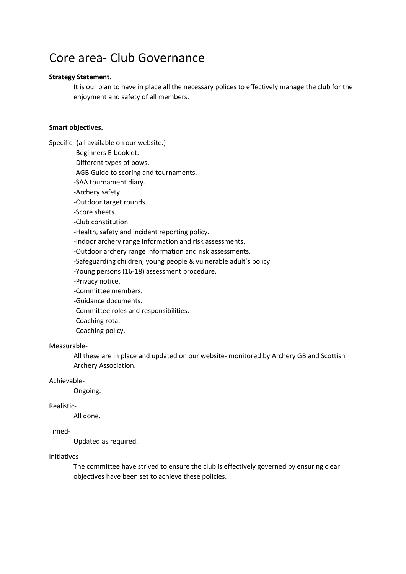### Core area- Club Governance

### **Strategy Statement.**

It is our plan to have in place all the necessary polices to effectively manage the club for the enjoyment and safety of all members.

### **Smart objectives.**

Specific- (all available on our website.)

-Beginners E-booklet.

-Different types of bows.

-AGB Guide to scoring and tournaments.

-SAA tournament diary.

-Archery safety

-Outdoor target rounds.

-Score sheets.

-Club constitution.

-Health, safety and incident reporting policy.

-Indoor archery range information and risk assessments.

-Outdoor archery range information and risk assessments.

-Safeguarding children, young people & vulnerable adult's policy.

-Young persons (16-18) assessment procedure.

-Privacy notice.

-Committee members.

-Guidance documents.

-Committee roles and responsibilities.

-Coaching rota.

-Coaching policy.

#### Measurable-

All these are in place and updated on our website- monitored by Archery GB and Scottish Archery Association.

#### Achievable-

Ongoing.

### Realistic-

All done.

### Timed-

Updated as required.

#### Initiatives-

The committee have strived to ensure the club is effectively governed by ensuring clear objectives have been set to achieve these policies.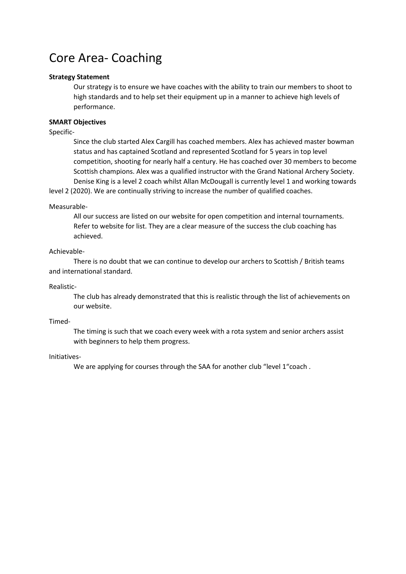### Core Area- Coaching

### **Strategy Statement**

Our strategy is to ensure we have coaches with the ability to train our members to shoot to high standards and to help set their equipment up in a manner to achieve high levels of performance.

### **SMART Objectives**

Specific-

Since the club started Alex Cargill has coached members. Alex has achieved master bowman status and has captained Scotland and represented Scotland for 5 years in top level competition, shooting for nearly half a century. He has coached over 30 members to become Scottish champions. Alex was a qualified instructor with the Grand National Archery Society. Denise King is a level 2 coach whilst Allan McDougall is currently level 1 and working towards

level 2 (2020). We are continually striving to increase the number of qualified coaches.

#### Measurable-

All our success are listed on our website for open competition and internal tournaments. Refer to website for list. They are a clear measure of the success the club coaching has achieved.

### Achievable-

There is no doubt that we can continue to develop our archers to Scottish / British teams and international standard.

Realistic-

The club has already demonstrated that this is realistic through the list of achievements on our website.

Timed-

The timing is such that we coach every week with a rota system and senior archers assist with beginners to help them progress.

#### Initiatives-

We are applying for courses through the SAA for another club "level 1"coach.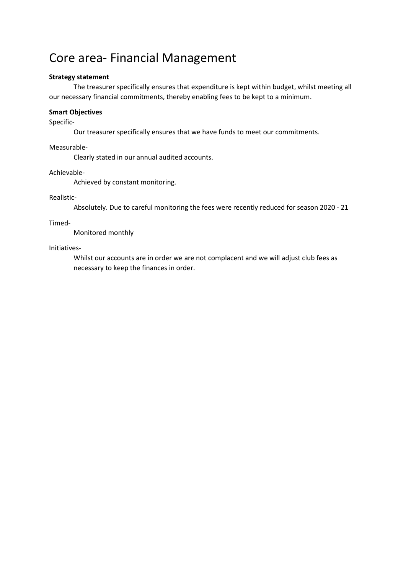### Core area- Financial Management

### **Strategy statement**

The treasurer specifically ensures that expenditure is kept within budget, whilst meeting all our necessary financial commitments, thereby enabling fees to be kept to a minimum.

### **Smart Objectives**

### Specific-

Our treasurer specifically ensures that we have funds to meet our commitments.

Measurable-

Clearly stated in our annual audited accounts.

Achievable-

Achieved by constant monitoring.

### Realistic-

Absolutely. Due to careful monitoring the fees were recently reduced for season 2020 - 21

### Timed-

Monitored monthly

Initiatives-

Whilst our accounts are in order we are not complacent and we will adjust club fees as necessary to keep the finances in order.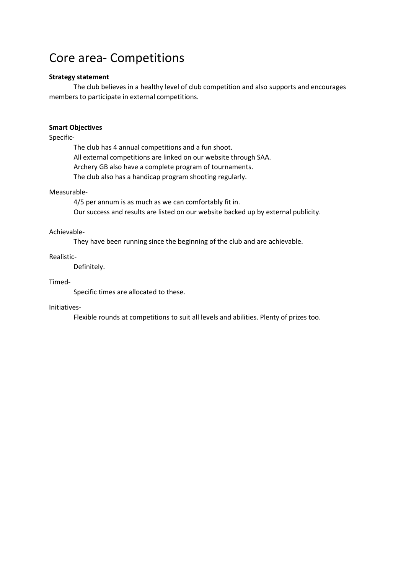### Core area- Competitions

### **Strategy statement**

The club believes in a healthy level of club competition and also supports and encourages members to participate in external competitions.

### **Smart Objectives**

Specific-

The club has 4 annual competitions and a fun shoot. All external competitions are linked on our website through SAA. Archery GB also have a complete program of tournaments. The club also has a handicap program shooting regularly.

### Measurable-

4/5 per annum is as much as we can comfortably fit in. Our success and results are listed on our website backed up by external publicity.

#### Achievable-

They have been running since the beginning of the club and are achievable.

### Realistic-

Definitely.

### Timed-

Specific times are allocated to these.

#### Initiatives-

Flexible rounds at competitions to suit all levels and abilities. Plenty of prizes too.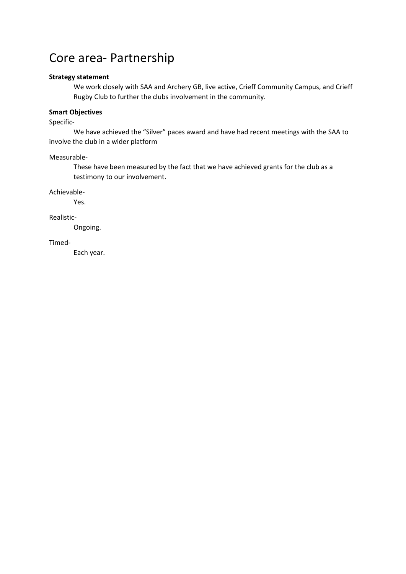### Core area- Partnership

#### **Strategy statement**

We work closely with SAA and Archery GB, live active, Crieff Community Campus, and Crieff Rugby Club to further the clubs involvement in the community.

### **Smart Objectives**

Specific-

We have achieved the "Silver" paces award and have had recent meetings with the SAA to involve the club in a wider platform

Measurable-

These have been measured by the fact that we have achieved grants for the club as a testimony to our involvement.

Achievable-

Yes.

Realistic-

Ongoing.

Timed-

Each year.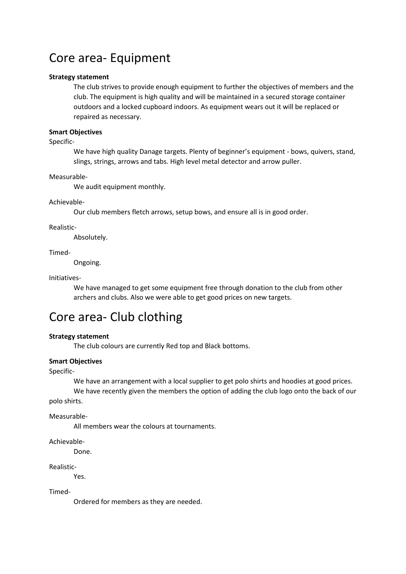### Core area- Equipment

### **Strategy statement**

The club strives to provide enough equipment to further the objectives of members and the club. The equipment is high quality and will be maintained in a secured storage container outdoors and a locked cupboard indoors. As equipment wears out it will be replaced or repaired as necessary.

#### **Smart Objectives**

Specific-

We have high quality Danage targets. Plenty of beginner's equipment - bows, quivers, stand, slings, strings, arrows and tabs. High level metal detector and arrow puller.

Measurable-

We audit equipment monthly.

#### Achievable-

Our club members fletch arrows, setup bows, and ensure all is in good order.

#### Realistic-

Absolutely.

#### Timed-

Ongoing.

#### Initiatives-

We have managed to get some equipment free through donation to the club from other archers and clubs. Also we were able to get good prices on new targets.

### Core area- Club clothing

#### **Strategy statement**

The club colours are currently Red top and Black bottoms.

#### **Smart Objectives**

#### Specific-

We have an arrangement with a local supplier to get polo shirts and hoodies at good prices.

We have recently given the members the option of adding the club logo onto the back of our polo shirts.

Measurable-

All members wear the colours at tournaments.

Achievable-

Done.

Realistic-

Yes.

Timed-

Ordered for members as they are needed.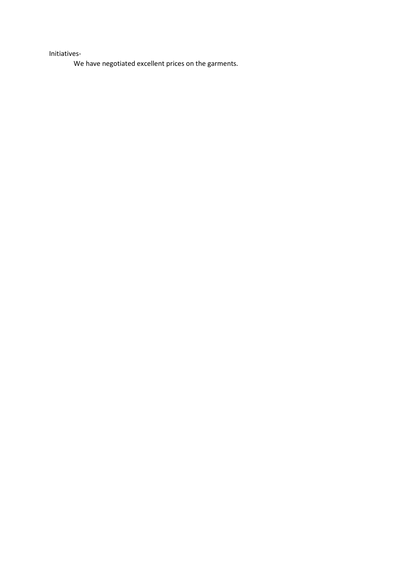Initiatives-

We have negotiated excellent prices on the garments.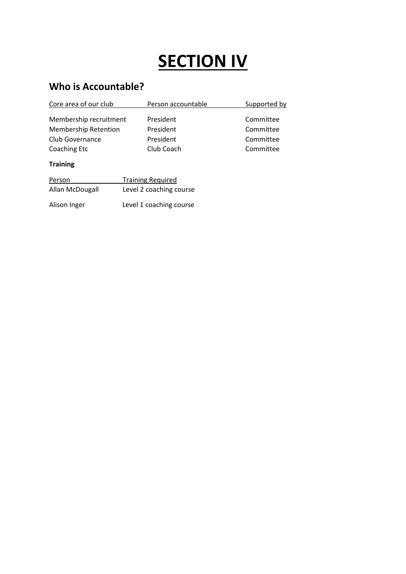# **SECTION IV**

### **Who is Accountable?**

| Core area of our club                                                    | Person accountable                                                             | Supported by                                     |
|--------------------------------------------------------------------------|--------------------------------------------------------------------------------|--------------------------------------------------|
| Membership recruitment<br><b>Membership Retention</b><br>Club Governance | President<br>President<br>President<br>Club Coach                              | Committee<br>Committee<br>Committee<br>Committee |
| <b>Coaching Etc</b>                                                      |                                                                                |                                                  |
| <b>Training</b>                                                          |                                                                                |                                                  |
| Person<br>Allan McDougall<br>Alison Inger                                | <b>Training Required</b><br>Level 2 coaching course<br>Level 1 coaching course |                                                  |